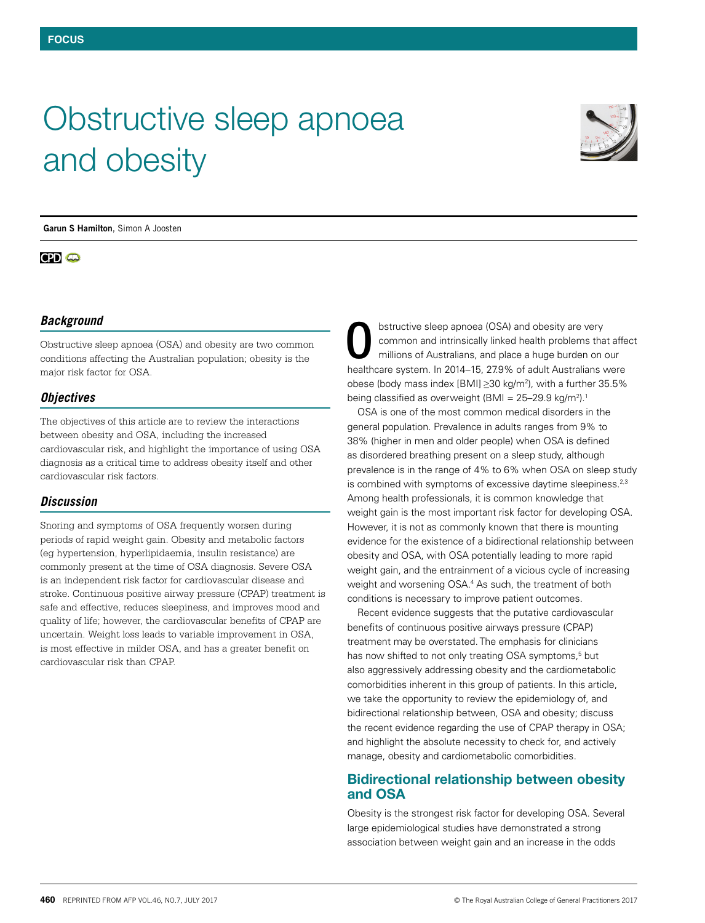# Obstructive sleep apnoea and obesity



**Garun S Hamilton**, Simon A Joosten

## **CPD** @

#### *Background*

Obstructive sleep apnoea (OSA) and obesity are two common conditions affecting the Australian population; obesity is the major risk factor for OSA.

#### *Objectives*

The objectives of this article are to review the interactions between obesity and OSA, including the increased cardiovascular risk, and highlight the importance of using OSA diagnosis as a critical time to address obesity itself and other cardiovascular risk factors.

### *Discussion*

Snoring and symptoms of OSA frequently worsen during periods of rapid weight gain. Obesity and metabolic factors (eg hypertension, hyperlipidaemia, insulin resistance) are commonly present at the time of OSA diagnosis. Severe OSA is an independent risk factor for cardiovascular disease and stroke. Continuous positive airway pressure (CPAP) treatment is safe and effective, reduces sleepiness, and improves mood and quality of life; however, the cardiovascular benefits of CPAP are uncertain. Weight loss leads to variable improvement in OSA, is most effective in milder OSA, and has a greater benefit on cardiovascular risk than CPAP.

bstructive sleep apnoea (OSA) and obesity are very common and intrinsically linked health problems that affect millions of Australians, and place a huge burden on our healthcare system. In 2014–15, 27.9% of adult Australians were obese (body mass index [BMI]  $\geq$ 30 kg/m<sup>2</sup>), with a further 35.5% being classified as overweight (BMI = 25–29.9 kg/m<sup>2</sup>).<sup>1</sup> O

OSA is one of the most common medical disorders in the general population. Prevalence in adults ranges from 9% to 38% (higher in men and older people) when OSA is defined as disordered breathing present on a sleep study, although prevalence is in the range of 4% to 6% when OSA on sleep study is combined with symptoms of excessive daytime sleepiness.<sup>2,3</sup> Among health professionals, it is common knowledge that weight gain is the most important risk factor for developing OSA. However, it is not as commonly known that there is mounting evidence for the existence of a bidirectional relationship between obesity and OSA, with OSA potentially leading to more rapid weight gain, and the entrainment of a vicious cycle of increasing weight and worsening OSA.<sup>4</sup> As such, the treatment of both conditions is necessary to improve patient outcomes.

Recent evidence suggests that the putative cardiovascular benefits of continuous positive airways pressure (CPAP) treatment may be overstated. The emphasis for clinicians has now shifted to not only treating OSA symptoms,<sup>5</sup> but also aggressively addressing obesity and the cardiometabolic comorbidities inherent in this group of patients. In this article, we take the opportunity to review the epidemiology of, and bidirectional relationship between, OSA and obesity; discuss the recent evidence regarding the use of CPAP therapy in OSA; and highlight the absolute necessity to check for, and actively manage, obesity and cardiometabolic comorbidities.

# **Bidirectional relationship between obesity and OSA**

Obesity is the strongest risk factor for developing OSA. Several large epidemiological studies have demonstrated a strong association between weight gain and an increase in the odds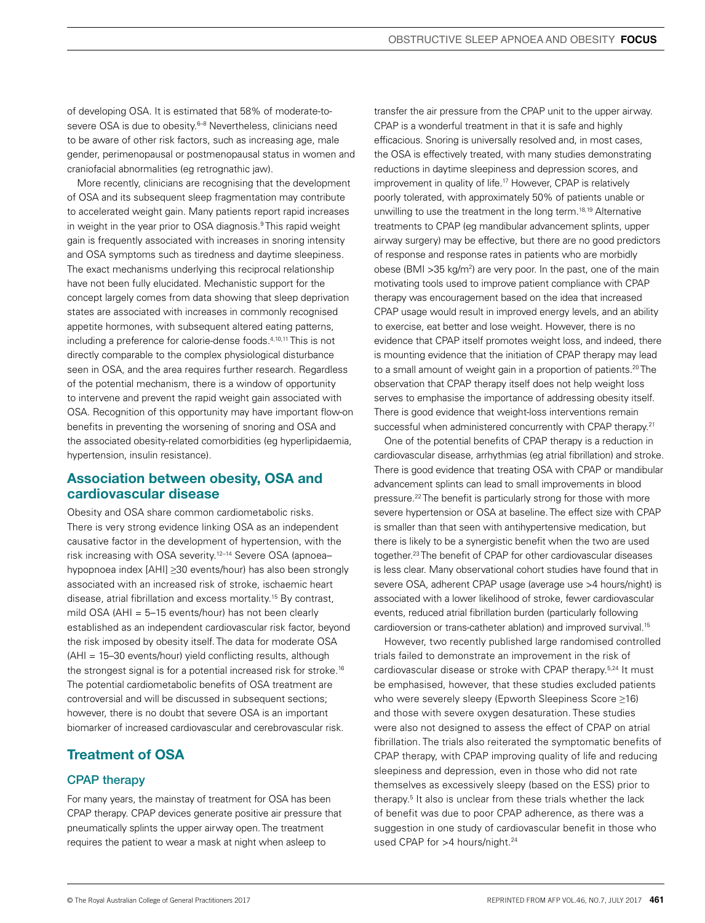of developing OSA. It is estimated that 58% of moderate-tosevere OSA is due to obesity.<sup>6–8</sup> Nevertheless, clinicians need to be aware of other risk factors, such as increasing age, male gender, perimenopausal or postmenopausal status in women and craniofacial abnormalities (eg retrognathic jaw).

More recently, clinicians are recognising that the development of OSA and its subsequent sleep fragmentation may contribute to accelerated weight gain. Many patients report rapid increases in weight in the year prior to OSA diagnosis.9 This rapid weight gain is frequently associated with increases in snoring intensity and OSA symptoms such as tiredness and daytime sleepiness. The exact mechanisms underlying this reciprocal relationship have not been fully elucidated. Mechanistic support for the concept largely comes from data showing that sleep deprivation states are associated with increases in commonly recognised appetite hormones, with subsequent altered eating patterns, including a preference for calorie-dense foods.4,10,11 This is not directly comparable to the complex physiological disturbance seen in OSA, and the area requires further research. Regardless of the potential mechanism, there is a window of opportunity to intervene and prevent the rapid weight gain associated with OSA. Recognition of this opportunity may have important flow-on benefits in preventing the worsening of snoring and OSA and the associated obesity-related comorbidities (eg hyperlipidaemia, hypertension, insulin resistance).

# **Association between obesity, OSA and cardiovascular disease**

Obesity and OSA share common cardiometabolic risks. There is very strong evidence linking OSA as an independent causative factor in the development of hypertension, with the risk increasing with OSA severity.12–14 Severe OSA (apnoea– hypopnoea index [AHI] ≥30 events/hour) has also been strongly associated with an increased risk of stroke, ischaemic heart disease, atrial fibrillation and excess mortality.15 By contrast, mild OSA (AHI = 5–15 events/hour) has not been clearly established as an independent cardiovascular risk factor, beyond the risk imposed by obesity itself. The data for moderate OSA (AHI = 15–30 events/hour) yield conflicting results, although the strongest signal is for a potential increased risk for stroke.<sup>16</sup> The potential cardiometabolic benefits of OSA treatment are controversial and will be discussed in subsequent sections; however, there is no doubt that severe OSA is an important biomarker of increased cardiovascular and cerebrovascular risk.

# Treatment of OSA

# CPAP therapy

For many years, the mainstay of treatment for OSA has been CPAP therapy. CPAP devices generate positive air pressure that pneumatically splints the upper airway open. The treatment requires the patient to wear a mask at night when asleep to

transfer the air pressure from the CPAP unit to the upper airway. CPAP is a wonderful treatment in that it is safe and highly efficacious. Snoring is universally resolved and, in most cases, the OSA is effectively treated, with many studies demonstrating reductions in daytime sleepiness and depression scores, and improvement in quality of life.<sup>17</sup> However, CPAP is relatively poorly tolerated, with approximately 50% of patients unable or unwilling to use the treatment in the long term.<sup>18,19</sup> Alternative treatments to CPAP (eg mandibular advancement splints, upper airway surgery) may be effective, but there are no good predictors of response and response rates in patients who are morbidly obese (BMI >35 kg/m2 ) are very poor. In the past, one of the main motivating tools used to improve patient compliance with CPAP therapy was encouragement based on the idea that increased CPAP usage would result in improved energy levels, and an ability to exercise, eat better and lose weight. However, there is no evidence that CPAP itself promotes weight loss, and indeed, there is mounting evidence that the initiation of CPAP therapy may lead to a small amount of weight gain in a proportion of patients.<sup>20</sup> The observation that CPAP therapy itself does not help weight loss serves to emphasise the importance of addressing obesity itself. There is good evidence that weight-loss interventions remain successful when administered concurrently with CPAP therapy.<sup>21</sup>

One of the potential benefits of CPAP therapy is a reduction in cardiovascular disease, arrhythmias (eg atrial fibrillation) and stroke. There is good evidence that treating OSA with CPAP or mandibular advancement splints can lead to small improvements in blood pressure.22 The benefit is particularly strong for those with more severe hypertension or OSA at baseline. The effect size with CPAP is smaller than that seen with antihypertensive medication, but there is likely to be a synergistic benefit when the two are used together.23 The benefit of CPAP for other cardiovascular diseases is less clear. Many observational cohort studies have found that in severe OSA, adherent CPAP usage (average use >4 hours/night) is associated with a lower likelihood of stroke, fewer cardiovascular events, reduced atrial fibrillation burden (particularly following cardioversion or trans-catheter ablation) and improved survival.15

However, two recently published large randomised controlled trials failed to demonstrate an improvement in the risk of cardiovascular disease or stroke with CPAP therapy.<sup>5,24</sup> It must be emphasised, however, that these studies excluded patients who were severely sleepy (Epworth Sleepiness Score ≥16) and those with severe oxygen desaturation. These studies were also not designed to assess the effect of CPAP on atrial fibrillation. The trials also reiterated the symptomatic benefits of CPAP therapy, with CPAP improving quality of life and reducing sleepiness and depression, even in those who did not rate themselves as excessively sleepy (based on the ESS) prior to therapy.5 It also is unclear from these trials whether the lack of benefit was due to poor CPAP adherence, as there was a suggestion in one study of cardiovascular benefit in those who used CPAP for >4 hours/night.<sup>24</sup>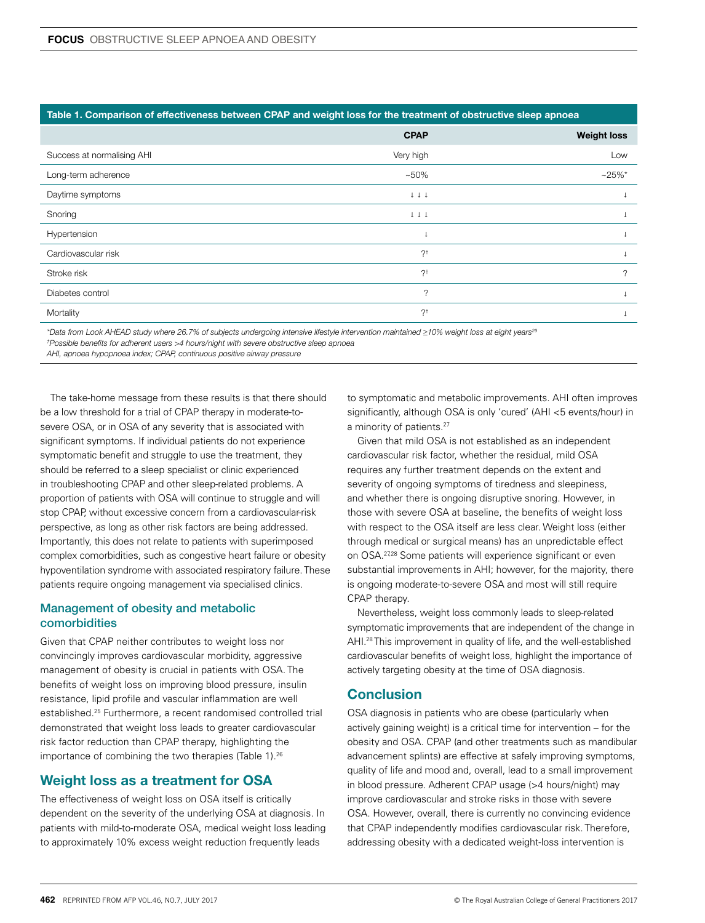#### **Table 1. Comparison of effectiveness between CPAP and weight loss for the treatment of obstructive sleep apnoea**

|                            | <b>CPAP</b>                          | <b>Weight loss</b> |
|----------------------------|--------------------------------------|--------------------|
| Success at normalising AHI | Very high                            | Low                |
| Long-term adherence        | $~10\%$                              | $~25\%$ *          |
| Daytime symptoms           | $\downarrow\,\downarrow\,\downarrow$ |                    |
| Snoring                    | $\downarrow\,\downarrow\,\downarrow$ |                    |
| Hypertension               |                                      |                    |
| Cardiovascular risk        | $?^{\dagger}$                        |                    |
| Stroke risk                | $?^{\dagger}$                        | 2                  |
| Diabetes control           | $\gamma$                             |                    |
| Mortality                  | $?^{\dagger}$                        |                    |

*\*Data from Look AHEAD study where 26.7% of subjects undergoing intensive lifestyle intervention maintained ≥10% weight loss at eight years29 † Possible benefits for adherent users >4 hours/night with severe obstructive sleep apnoea*

*AHI, apnoea hypopnoea index; CPAP, continuous positive airway pressure* 

The take-home message from these results is that there should be a low threshold for a trial of CPAP therapy in moderate-tosevere OSA, or in OSA of any severity that is associated with significant symptoms. If individual patients do not experience symptomatic benefit and struggle to use the treatment, they should be referred to a sleep specialist or clinic experienced in troubleshooting CPAP and other sleep-related problems. A proportion of patients with OSA will continue to struggle and will stop CPAP, without excessive concern from a cardiovascular-risk perspective, as long as other risk factors are being addressed. Importantly, this does not relate to patients with superimposed complex comorbidities, such as congestive heart failure or obesity hypoventilation syndrome with associated respiratory failure. These patients require ongoing management via specialised clinics.

#### Management of obesity and metabolic comorbidities

Given that CPAP neither contributes to weight loss nor convincingly improves cardiovascular morbidity, aggressive management of obesity is crucial in patients with OSA. The benefits of weight loss on improving blood pressure, insulin resistance, lipid profile and vascular inflammation are well established.25 Furthermore, a recent randomised controlled trial demonstrated that weight loss leads to greater cardiovascular risk factor reduction than CPAP therapy, highlighting the importance of combining the two therapies (Table 1).<sup>26</sup>

# **Weight loss as a treatment for OSA**

The effectiveness of weight loss on OSA itself is critically dependent on the severity of the underlying OSA at diagnosis. In patients with mild-to-moderate OSA, medical weight loss leading to approximately 10% excess weight reduction frequently leads

to symptomatic and metabolic improvements. AHI often improves significantly, although OSA is only 'cured' (AHI <5 events/hour) in a minority of patients.<sup>27</sup>

Given that mild OSA is not established as an independent cardiovascular risk factor, whether the residual, mild OSA requires any further treatment depends on the extent and severity of ongoing symptoms of tiredness and sleepiness, and whether there is ongoing disruptive snoring. However, in those with severe OSA at baseline, the benefits of weight loss with respect to the OSA itself are less clear. Weight loss (either through medical or surgical means) has an unpredictable effect on OSA.27,28 Some patients will experience significant or even substantial improvements in AHI; however, for the majority, there is ongoing moderate-to-severe OSA and most will still require CPAP therapy.

Nevertheless, weight loss commonly leads to sleep-related symptomatic improvements that are independent of the change in AHI.<sup>28</sup> This improvement in quality of life, and the well-established cardiovascular benefits of weight loss, highlight the importance of actively targeting obesity at the time of OSA diagnosis.

### **Conclusion**

OSA diagnosis in patients who are obese (particularly when actively gaining weight) is a critical time for intervention – for the obesity and OSA. CPAP (and other treatments such as mandibular advancement splints) are effective at safely improving symptoms, quality of life and mood and, overall, lead to a small improvement in blood pressure. Adherent CPAP usage (>4 hours/night) may improve cardiovascular and stroke risks in those with severe OSA. However, overall, there is currently no convincing evidence that CPAP independently modifies cardiovascular risk. Therefore, addressing obesity with a dedicated weight-loss intervention is